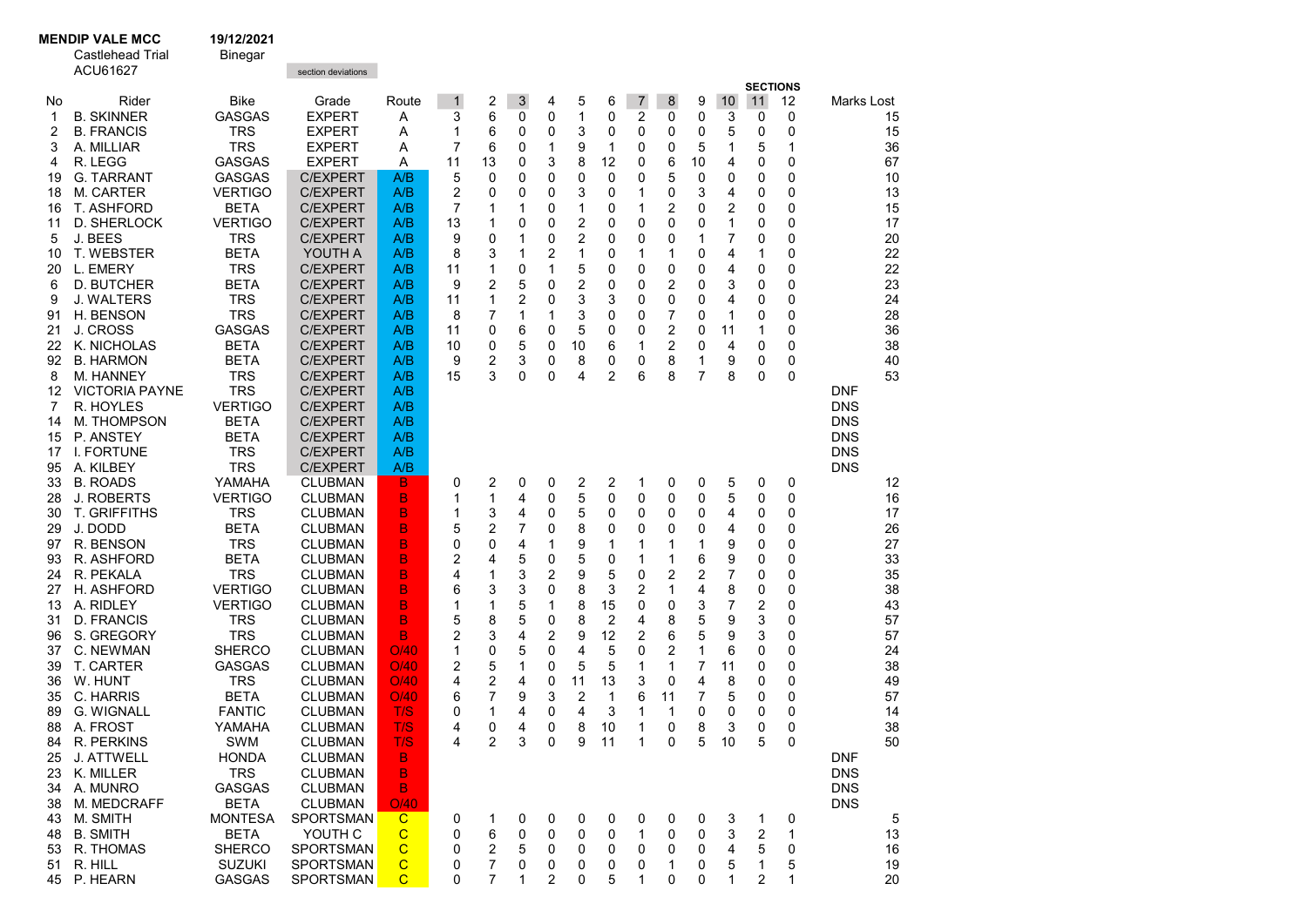**MENDIP VALE MCC** 19/12/2021<br>Castlehead Trial Binegar

Castlehead Trial

|  | Bine |
|--|------|
|  |      |

|  | <u>unoyur</u> |  |
|--|---------------|--|
|  |               |  |

|          | ACU61627                  |                           | section deviations                 |                  |              |                     |                     |        |        |        |                |        |        |        |                         |        |            |              |
|----------|---------------------------|---------------------------|------------------------------------|------------------|--------------|---------------------|---------------------|--------|--------|--------|----------------|--------|--------|--------|-------------------------|--------|------------|--------------|
|          |                           |                           |                                    |                  |              |                     |                     |        |        |        |                |        |        |        | <b>SECTIONS</b>         |        |            |              |
| No.      | Rider                     | <b>Bike</b>               | Grade                              | Route            | $\mathbf{1}$ | 2                   | 3                   | 4      | 5      | 6      | $\overline{7}$ | 8      | 9      | 10     | 11                      | 12     | Marks Lost |              |
| 1        | <b>B. SKINNER</b>         | <b>GASGAS</b>             | <b>EXPERT</b>                      | Α                | 3            | 6                   | 0                   | 0      | 1      | 0      | 2              | 0      | 0      | 3      | 0                       | 0      |            | 15           |
| 2        | <b>B. FRANCIS</b>         | <b>TRS</b>                | <b>EXPERT</b>                      | Α                | 1            | 6                   | 0                   | 0      | 3      | 0      | 0              | 0      | 0      | 5      | 0                       | 0      |            | 15           |
| 3        | A. MILLIAR                | <b>TRS</b>                | <b>EXPERT</b>                      | Α                | 7            | 6                   | 0                   | 1      | 9      | 1      | 0              | 0      | 5      | 1      | 5                       | 1      |            | 36           |
| 4        | R. LEGG                   | <b>GASGAS</b>             | <b>EXPERT</b>                      | Α                | 11           | 13                  | 0                   | 3      | 8      | 12     | 0              | 6      | 10     | 4      | 0                       | 0      |            | 67           |
| 19       | <b>G. TARRANT</b>         | <b>GASGAS</b>             | <b>C/EXPERT</b>                    | A/B              | 5            | 0                   | 0                   | 0      | 0      | 0      | 0              | 5      | 0      | 0      | 0                       | 0      |            | 10           |
| 18       | M. CARTER                 | <b>VERTIGO</b>            | <b>C/EXPERT</b>                    | A/B              | 2            | 0                   | 0                   | 0      | 3      | 0      | 1              | 0      | 3      | 4      | 0                       | 0      |            | 13           |
| 16       | T. ASHFORD                | BETA                      | <b>C/EXPERT</b>                    | A/B              | 7            | 1                   | 1                   | 0      | 1      | 0      | 1              | 2      | 0      | 2      | 0                       | 0      |            | 15           |
| 11       | D. SHERLOCK               | <b>VERTIGO</b>            | <b>C/EXPERT</b>                    | A/B              | 13           | 1                   | 0                   | 0      | 2      | 0      | 0              | 0      | 0      | 1      | 0                       | 0      |            | 17           |
| 5        | J. BEES                   | <b>TRS</b>                | <b>C/EXPERT</b>                    | A/B              | 9            | 0                   | 1                   | 0      | 2      | 0      | 0              | 0      | 1      | 7      | 0                       | 0      |            | 20           |
| 10       | <b>T. WEBSTER</b>         | <b>BETA</b>               | YOUTH A                            | A/B              | 8            | 3                   | 1                   | 2      | 1      | 0      | 1              | 1      | 0      | 4      | 1                       | 0      |            | 22           |
| 20       | L. EMERY                  | <b>TRS</b>                | <b>C/EXPERT</b>                    | A/B              | 11           | 1                   | 0                   | 1      | 5      | 0      | 0              | 0      | 0      | 4      | 0                       | 0      |            | 22           |
| 6        | <b>D. BUTCHER</b>         | <b>BETA</b><br><b>TRS</b> | <b>C/EXPERT</b>                    | A/B              | 9            | 2<br>1              | 5<br>$\overline{2}$ | 0<br>0 | 2<br>3 | 0      | 0<br>0         | 2      | 0      | 3<br>4 | 0<br>0                  | 0<br>0 |            | 23<br>24     |
| 9        | J. WALTERS<br>H. BENSON   | <b>TRS</b>                | <b>C/EXPERT</b><br><b>C/EXPERT</b> | A/B<br>A/B       | 11           | 7                   | 1                   |        |        | 3<br>0 | 0              | 0      | 0      | 1      |                         | 0      |            | 28           |
| 91       | J. CROSS                  | <b>GASGAS</b>             | <b>C/EXPERT</b>                    | A/B              | 8<br>11      | 0                   | 6                   | 1<br>0 | 3<br>5 | 0      | 0              | 7<br>2 | 0<br>0 | 11     | 0<br>1                  | 0      |            | 36           |
| 21<br>22 | K. NICHOLAS               | <b>BETA</b>               | <b>C/EXPERT</b>                    | A/B              | 10           | 0                   | 5                   | 0      | 10     | 6      | 1              | 2      | 0      | 4      | 0                       | 0      |            | 38           |
| 92       | <b>B. HARMON</b>          | BETA                      | <b>C/EXPERT</b>                    | A/B              | 9            | 2                   | 3                   | 0      | 8      | 0      | 0              | 8      | 1      | 9      | 0                       | 0      |            | 40           |
| 8        | <b>M. HANNEY</b>          | <b>TRS</b>                | <b>C/EXPERT</b>                    | A/B              | 15           | 3                   | 0                   | 0      | 4      | 2      | 6              | 8      | 7      | 8      | 0                       | 0      |            | 53           |
| 12       | <b>VICTORIA PAYNE</b>     | <b>TRS</b>                | <b>C/EXPERT</b>                    | A/B              |              |                     |                     |        |        |        |                |        |        |        |                         |        | <b>DNF</b> |              |
| 7        | R. HOYLES                 | <b>VERTIGO</b>            | <b>C/EXPERT</b>                    | A/B              |              |                     |                     |        |        |        |                |        |        |        |                         |        | <b>DNS</b> |              |
| 14       | <b>M. THOMPSON</b>        | BETA                      | <b>C/EXPERT</b>                    | A/B              |              |                     |                     |        |        |        |                |        |        |        |                         |        | <b>DNS</b> |              |
| 15       | P. ANSTEY                 | <b>BETA</b>               | <b>C/EXPERT</b>                    | A/B              |              |                     |                     |        |        |        |                |        |        |        |                         |        | <b>DNS</b> |              |
| 17       | <b>I. FORTUNE</b>         | <b>TRS</b>                | <b>C/EXPERT</b>                    | A/B              |              |                     |                     |        |        |        |                |        |        |        |                         |        | <b>DNS</b> |              |
| 95       | A. KILBEY                 | <b>TRS</b>                | <b>C/EXPERT</b>                    | A/B              |              |                     |                     |        |        |        |                |        |        |        |                         |        | <b>DNS</b> |              |
| 33       | <b>B. ROADS</b>           | YAMAHA                    | <b>CLUBMAN</b>                     | B                | 0            | 2                   | 0                   | 0      | 2      | 2      | 1              | 0      | 0      | 5      | 0                       | 0      |            | 12           |
| 28       | <b>J. ROBERTS</b>         | <b>VERTIGO</b>            | <b>CLUBMAN</b>                     | B                | 1            | 1                   | 4                   | 0      | 5      | 0      | 0              | 0      | 0      | 5      | 0                       | 0      |            | 16           |
| 30       | <b>T. GRIFFITHS</b>       | <b>TRS</b>                | <b>CLUBMAN</b>                     | В                | 1            | 3                   | 4                   | 0      | 5      | 0      | 0              | 0      | 0      | 4      | 0                       | 0      |            | 17           |
| 29       | J. DODD                   | <b>BETA</b>               | <b>CLUBMAN</b>                     | B                | 5            | 2                   | 7                   | 0      | 8      | 0      | 0              | 0      | 0      | 4      | 0                       | 0      |            | 26           |
| 97       | R. BENSON                 | <b>TRS</b>                | <b>CLUBMAN</b>                     | В                | 0            | 0                   | 4                   | 1      | 9      | 1      | 1              | 1      | 1      | 9      | 0                       | 0      |            | 27           |
| 93       | R. ASHFORD                | <b>BETA</b>               | <b>CLUBMAN</b>                     | B                | 2            | 4                   | 5                   | 0      | 5      | 0      | 1              | 1      | 6      | 9      | 0                       | 0      |            | 33           |
| 24       | R. PEKALA                 | <b>TRS</b>                | <b>CLUBMAN</b>                     | B                | 4            | 1                   | 3                   | 2      | 9      | 5      | 0              | 2      | 2      | 7      | 0                       | 0      |            | 35           |
| 27       | H. ASHFORD                | <b>VERTIGO</b>            | <b>CLUBMAN</b>                     | В                | 6            | 3                   | 3                   | 0      | 8      | 3      | 2              | 1      | 4      | 8      | 0                       | 0      |            | 38           |
| 13       | A. RIDLEY                 | <b>VERTIGO</b>            | <b>CLUBMAN</b>                     | В                | 1            | 1                   | 5                   | 1      | 8      | 15     | 0              | 0      | 3      | 7      | $\overline{2}$          | 0      |            | 43           |
| 31       | <b>D. FRANCIS</b>         | <b>TRS</b>                | <b>CLUBMAN</b>                     | B                | 5            | 8                   | 5                   | 0      | 8      | 2      | 4              | 8      | 5      | 9      | 3                       | 0      |            | 57           |
| 96       | S. GREGORY                | <b>TRS</b>                | <b>CLUBMAN</b>                     | B                | 2            | 3                   | 4                   | 2      | 9      | 12     | 2              | 6      | 5      | 9      | 3                       | 0      |            | 57           |
| 37       | C. NEWMAN                 | <b>SHERCO</b>             | <b>CLUBMAN</b>                     | O/40             | 1            | 0                   | 5                   | 0      | 4      | 5      | 0              | 2      | 1      | 6      | 0                       | 0      |            | 24           |
| 39       | T. CARTER                 | <b>GASGAS</b>             | <b>CLUBMAN</b>                     | O/40             | 2            | 5                   | 1                   | 0      | 5      | 5      | 1              | 1      | 7      | 11     | 0                       | 0      |            | 38           |
| 36       | W. HUNT                   | <b>TRS</b>                | <b>CLUBMAN</b>                     | O/40             | 4            | 2                   | 4                   | 0      | 11     | 13     | 3              | 0      | 4      | 8      | 0                       | 0      |            | 49           |
| 35       | C. HARRIS                 | <b>BETA</b>               | <b>CLUBMAN</b>                     | O/40             | 6            | 7                   | 9                   | 3      | 2      | 1      | 6              | 11     | 7      | 5      | 0                       | 0      |            | 57           |
| 89       | G. WIGNALL                | <b>FANTIC</b>             | <b>CLUBMAN</b>                     | T/S              | 0            | 1                   | 4                   | 0      | 4      | 3      | 1              | 1      | 0      | 0      | 0                       | 0      |            | 14           |
| 88       | A. FROST                  | YAMAHA                    | <b>CLUBMAN</b>                     | T/S              | 4            | 0                   | 4                   | 0      | 8      | 10     | 1              | 0      | 8      | 3      | 0                       | 0      |            | 38           |
| 84       | R. PERKINS                | <b>SWM</b>                | <b>CLUBMAN</b>                     | T/S              | 4            | $\overline{2}$      | 3                   | 0      | 9      | 11     | 1              | 0      | 5      | 10     | 5                       | 0      |            | 50           |
|          | 25 J. ATTWELL             | <b>HONDA</b>              | <b>CLUBMAN</b>                     | B.               |              |                     |                     |        |        |        |                |        |        |        |                         |        | <b>DNF</b> |              |
|          | 23 K. MILLER              | <b>TRS</b>                | <b>CLUBMAN</b>                     | B                |              |                     |                     |        |        |        |                |        |        |        |                         |        | <b>DNS</b> |              |
|          | 34 A. MUNRO               | GASGAS                    | <b>CLUBMAN</b>                     | B                |              |                     |                     |        |        |        |                |        |        |        |                         |        | <b>DNS</b> |              |
| 38       | M. MEDCRAFF               | <b>BETA</b>               | <b>CLUBMAN</b>                     | O/40             |              |                     |                     |        |        |        |                |        |        |        |                         |        | <b>DNS</b> |              |
|          | 43 M. SMITH               | <b>MONTESA</b>            | <b>SPORTSMAN</b>                   | $\mathbf C$      | 0            | 1                   | 0                   | 0      | 0      | 0      | 0              | 0      | 0      | 3      | 1                       | 0      |            | 5            |
|          | 48 B. SMITH               | <b>BETA</b>               | YOUTH C                            | $\mathbf C$      | 0            | 6                   | 0                   | 0      | 0      | 0      | 1              | 0      | 0      | 3      | $\overline{\mathbf{c}}$ | 1      |            | 13           |
| 53       | R. THOMAS                 | <b>SHERCO</b>             | <b>SPORTSMAN</b>                   | C<br>$\mathbf C$ | 0            | 2                   | 5                   | 0      | 0      | 0      | 0              | 0      | 0      | 4      | 5                       | 0      |            | 16           |
|          | 51 R. HILL<br>45 P. HEARN | <b>SUZUKI</b><br>GASGAS   | SPORTSMAN<br>SPORTSMAN             | $\mathsf{C}$     | 0<br>0       | 7<br>$\overline{7}$ | 0<br>1              | 0<br>2 | 0<br>0 | 0<br>5 | 0<br>1         | 1<br>0 | 0<br>0 | 5<br>1 | 1<br>2                  | 5<br>1 |            | 19<br>$20\,$ |
|          |                           |                           |                                    |                  |              |                     |                     |        |        |        |                |        |        |        |                         |        |            |              |